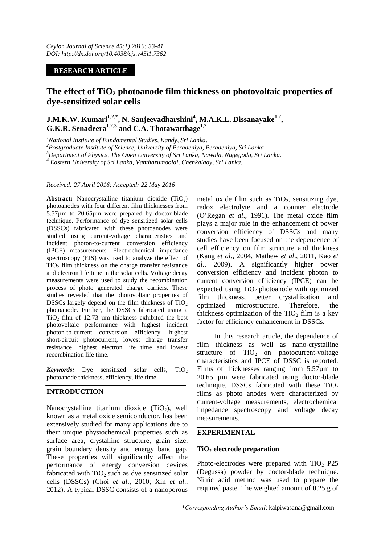# **RESEARCH ARTICLE**

# **The effect of TiO<sup>2</sup> photoanode film thickness on photovoltaic properties of dye-sensitized solar cells**

**J.M.K.W. Kumari1,2,\*, N. Sanjeevadharshini<sup>4</sup> , M.A.K.L. Dissanayake1,2 , G.K.R. Senadeera1,2,3 and C.A. Thotawatthage1,2**

*<sup>1</sup>National Institute of Fundamental Studies, Kandy, Sri Lanka.*

*<sup>2</sup>Postgraduate Institute of Science, University of Peradeniya, Peradeniya, Sri Lanka.*

*<sup>3</sup>Department of Physics, The Open University of Sri Lanka, Nawala, Nugegoda, Sri Lanka.*

*<sup>4</sup> Eastern University of Sri Lanka, Vantharumoolai, Chenkalady, Sri Lanka.*

*Received: 27 April 2016; Accepted: 22 May 2016*

**Abstract:** Nanocrystalline titanium dioxide (TiO<sub>2</sub>) photoanodes with four different film thicknesses from 5.57µm to 20.65µm were prepared by doctor-blade technique. Performance of dye sensitized solar cells (DSSCs) fabricated with these photoanodes were studied using current-voltage characteristics and incident photon-to-current conversion efficiency (IPCE) measurements. Electrochemical impedance spectroscopy (EIS) was used to analyze the effect of  $TiO<sub>2</sub>$  film thickness on the charge transfer resistance and electron life time in the solar cells. Voltage decay measurements were used to study the recombination process of photo generated charge carriers. These studies revealed that the photovoltaic properties of DSSCs largely depend on the film thickness of  $TiO<sub>2</sub>$ photoanode. Further, the DSSCs fabricated using a  $TiO<sub>2</sub>$  film of 12.73 µm thickness exhibited the best photovoltaic performance with highest incident photon-to-current conversion efficiency, highest short-circuit photocurrent, lowest charge transfer resistance, highest electron life time and lowest recombination life time.

*Keywords:* Dye sensitized solar cells, TiO<sub>2</sub> photoanode thickness, efficiency, life time.

# **INTRODUCTION**

Nanocrystalline titanium dioxide  $(TiO<sub>2</sub>)$ , well known as a metal oxide semiconductor, has been extensively studied for many applications due to their unique physiochemical properties such as surface area, crystalline structure, grain size, grain boundary density and energy band gap. These properties will significantly affect the performance of energy conversion devices fabricated with  $TiO<sub>2</sub>$  such as dye sensitized solar cells (DSSCs) (Choi *et al*., 2010; Xin *et al*., 2012). A typical DSSC consists of a nanoporous metal oxide film such as  $TiO<sub>2</sub>$ , sensitizing dye, redox electrolyte and a counter electrode (O'Regan *et al*., 1991). The metal oxide film plays a major role in the enhancement of power conversion efficiency of DSSCs and many studies have been focused on the dependence of cell efficiency on film structure and thickness (Kang *et al*., 2004, Mathew *et al*., 2011, Kao *et al*., 2009). A significantly higher power conversion efficiency and incident photon to current conversion efficiency (IPCE) can be expected using  $TiO<sub>2</sub>$  photoanode with optimized film thickness, better crystallization and optimized microstructure. Therefore, the thickness optimization of the  $TiO<sub>2</sub>$  film is a key factor for efficiency enhancement in DSSCs.

In this research article, the dependence of film thickness as well as nano-crystalline structure of  $TiO<sub>2</sub>$  on photocurrent-voltage characteristics and IPCE of DSSC is reported. Films of thicknesses ranging from 5.57µm to 20.65 µm were fabricated using doctor-blade technique. DSSCs fabricated with these  $TiO<sub>2</sub>$ films as photo anodes were characterized by current-voltage measurements, electrochemical impedance spectroscopy and voltage decay measurements.

#### **EXPERIMENTAL**

#### **TiO<sup>2</sup> electrode preparation**

Photo-electrodes were prepared with  $TiO<sub>2</sub>$  P25 (Degussa) powder by doctor-blade technique. Nitric acid method was used to prepare the required paste. The weighted amount of 0.25 g of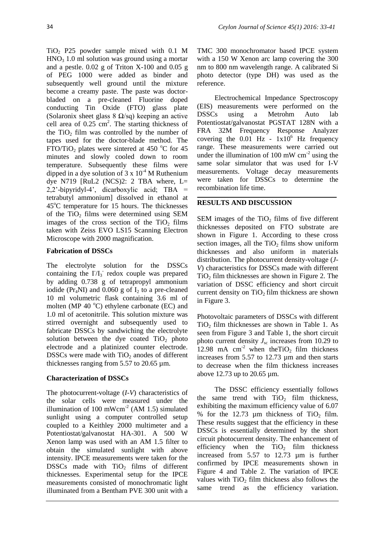TiO<sup>2</sup> P25 powder sample mixed with 0.1 M  $HNO<sub>3</sub> 1.0$  ml solution was ground using a mortar and a pestle. 0.02 g of Triton X-100 and 0.05 g of PEG 1000 were added as binder and subsequently well ground until the mixture become a creamy paste. The paste was doctorbladed on a pre-cleaned Fluorine doped conducting Tin Oxide (FTO) glass plate (Solaronix sheet glass  $8 \Omega/sq$ ) keeping an active cell area of  $0.25 \text{ cm}^2$ . The starting thickness of the  $TiO<sub>2</sub>$  film was controlled by the number of tapes used for the doctor-blade method. The FTO/TiO<sub>2</sub> plates were sintered at 450  $^{\circ}$ C for 45 minutes and slowly cooled down to room temperature. Subsequently these films were dipped in a dye solution of  $3 \times 10^{-4}$  M Ruthenium dye N719 [RuL2 (NCS)2: 2 TBA where,  $L=$  $2,2'$ -bipyridyl-4', dicarboxylic acid; TBA = tetrabutyl ammonium] dissolved in ethanol at  $45^{\circ}$ C temperature for 15 hours. The thicknesses of the TiO<sub>2</sub> films were determined using SEM images of the cross section of the  $TiO<sub>2</sub>$  films taken with Zeiss EVO LS15 Scanning Electron Microscope with 2000 magnification.

## **Fabrication of DSSCs**

The electrolyte solution for the DSSCs containing the  $I/I_3$  redox couple was prepared by adding 0.738 g of tetrapropyl ammonium iodide ( $Pr_A$ NI) and 0.060 g of I<sub>2</sub> to a pre-cleaned 10 ml volumetric flask containing 3.6 ml of molten (MP 40 $\degree$ C) ethylene carbonate (EC) and 1.0 ml of acetonitrile. This solution mixture was stirred overnight and subsequently used to fabricate DSSCs by sandwiching the electrolyte solution between the dye coated  $TiO<sub>2</sub>$  photo electrode and a platinized counter electrode. DSSCs were made with  $TiO<sub>2</sub>$  anodes of different thicknesses ranging from 5.57 to 20.65 µm.

# **Characterization of DSSCs**

The photocurrent-voltage (*I-V*) characteristics of the solar cells were measured under the illumination of 100 mWcm<sup>-2</sup> (AM 1.5) simulated sunlight using a computer controlled setup coupled to a Keithley 2000 multimeter and a Potentiostat/galvanostat HA-301. A 500 W Xenon lamp was used with an AM 1.5 filter to obtain the simulated sunlight with above intensity. IPCE measurements were taken for the DSSCs made with  $TiO<sub>2</sub>$  films of different thicknesses. Experimental setup for the IPCE measurements consisted of monochromatic light illuminated from a Bentham PVE 300 unit with a

TMC 300 monochromator based IPCE system with a 150 W Xenon arc lamp covering the 300 nm to 800 nm wavelength range. A calibrated Si photo detector (type DH) was used as the reference.

Electrochemical Impedance Spectroscopy (EIS) measurements were performed on the DSSCs using a Metrohm Auto lab Potentiostat/galvanostat PGSTAT 128N with a FRA 32M Frequency Response Analyzer covering the  $0.01$  Hz -  $1x10^6$  Hz frequency range. These measurements were carried out under the illumination of 100 mW  $cm<sup>-2</sup>$  using the same solar simulator that was used for I-V measurements. Voltage decay measurements were taken for DSSCs to determine the recombination life time.

## **RESULTS AND DISCUSSION**

SEM images of the  $TiO<sub>2</sub>$  films of five different thicknesses deposited on FTO substrate are shown in Figure 1. According to these cross section images, all the  $TiO<sub>2</sub>$  films show uniform thicknesses and also uniform in materials distribution. The photocurrent density-voltage (*J-V*) characteristics for DSSCs made with different  $TiO<sub>2</sub>$  film thicknesses are shown in Figure 2. The variation of DSSC efficiency and short circuit current density on  $TiO<sub>2</sub> film thickness are shown$ in Figure 3.

Photovoltaic parameters of DSSCs with different  $TiO<sub>2</sub>$  film thicknesses are shown in Table 1. As seen from Figure 3 and Table 1, the short circuit photo current density  $J_{\rm sc}$  increases from 10.29 to 12.98 mA cm<sup>-2</sup> when theTiO<sub>2</sub> film thickness increases from 5.57 to 12.73 um and then starts to decrease when the film thickness increases above 12.73 up to 20.65 µm.

The DSSC efficiency essentially follows the same trend with  $TiO<sub>2</sub>$  film thickness, exhibiting the maximum efficiency value of 6.07 % for the  $12.73 \mu m$  thickness of TiO<sub>2</sub> film. These results suggest that the efficiency in these DSSCs is essentially determined by the short circuit photocurrent density. The enhancement of efficiency when the  $TiO<sub>2</sub>$  film thickness increased from 5.57 to 12.73 µm is further confirmed by IPCE measurements shown in Figure 4 and Table 2. The variation of IPCE values with  $TiO<sub>2</sub>$  film thickness also follows the same trend as the efficiency variation.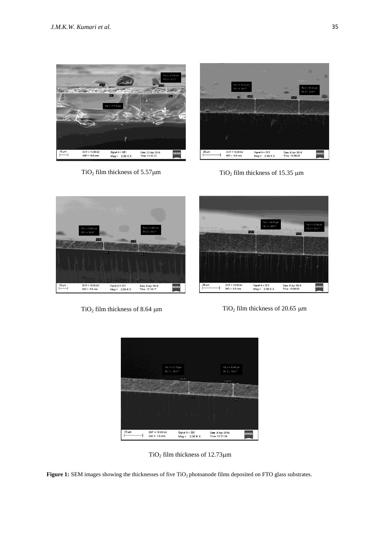



TiO<sub>2</sub> film thickness of 5.57 $\mu$ m TiO<sub>2</sub> film thickness of 15.35  $\mu$ m







TiO<sub>2</sub> film thickness of  $12.73 \mu m$ 

**Figure 1:** SEM images showing the thicknesses of five TiO<sub>2</sub> photoanode films deposited on FTO glass substrates.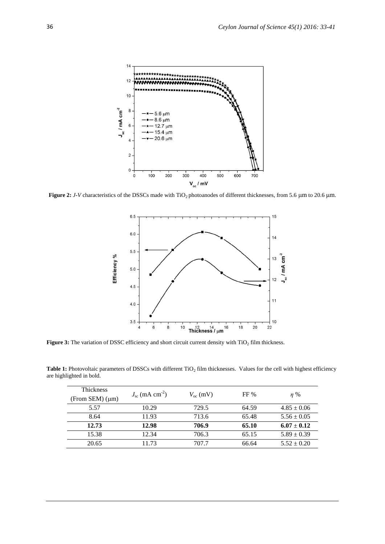

Figure 2: *J-V* characteristics of the DSSCs made with TiO<sub>2</sub> photoanodes of different thicknesses, from 5.6 µm to 20.6 µm.



Figure 3: The variation of DSSC efficiency and short circuit current density with TiO<sub>2</sub> film thickness.

Table 1: Photovoltaic parameters of DSSCs with different TiO<sub>2</sub> film thicknesses. Values for the cell with highest efficiency are highlighted in bold.

| <b>Thickness</b> | $J_{\rm sc}$ (mA cm <sup>-2</sup> ) |                   | FF%   |                 |
|------------------|-------------------------------------|-------------------|-------|-----------------|
| (From SEM) (µm)  |                                     | $V_{\rm oc}$ (mV) |       | $n\%$           |
| 5.57             | 10.29                               | 729.5             | 64.59 | $4.85 \pm 0.06$ |
| 8.64             | 11.93                               | 713.6             | 65.48 | $5.56 \pm 0.05$ |
| 12.73            | 12.98                               | 706.9             | 65.10 | $6.07 \pm 0.12$ |
| 15.38            | 12.34                               | 706.3             | 65.15 | $5.89 \pm 0.39$ |
| 20.65            | 11.73                               | 707.7             | 66.64 | $5.52 \pm 0.20$ |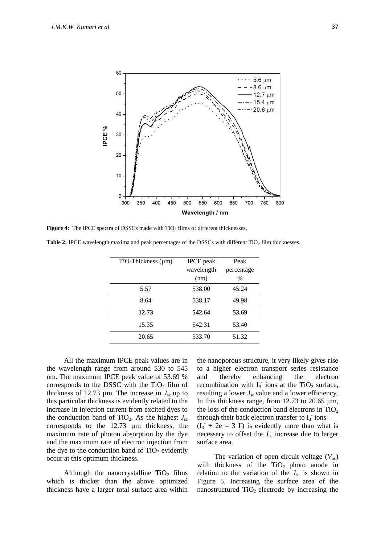

**Figure 4:** The IPCE spectra of DSSCs made with  $TiO<sub>2</sub>$  films of different thicknesses.

Table 2: IPCE wavelength maxima and peak percentages of the DSSCs with different TiO<sub>2</sub> film thicknesses.

| TiO <sub>2</sub> Thickness (µm) | <b>IPCE</b> peak | Peak       |
|---------------------------------|------------------|------------|
|                                 | wavelength       | percentage |
|                                 | (nm)             | $\%$       |
| 5.57                            | 538.00           | 45.24      |
| 8.64                            | 538.17           | 49.98      |
| 12.73                           | 542.64           | 53.69      |
| 15.35                           | 542.31           | 53.40      |
| 20.65                           | 533.70           | 51.32      |
|                                 |                  |            |

All the maximum IPCE peak values are in the wavelength range from around 530 to 545 nm. The maximum IPCE peak value of 53.69 % corresponds to the DSSC with the  $TiO<sub>2</sub>$  film of thickness of 12.73  $\mu$ m. The increase in  $J_{\rm sc}$  up to this particular thickness is evidently related to the increase in injection current from excited dyes to the conduction band of TiO<sub>2</sub>. As the highest  $J_{\rm sc}$ corresponds to the 12.73 µm thickness, the maximum rate of photon absorption by the dye and the maximum rate of electron injection from the dye to the conduction band of  $TiO<sub>2</sub>$  evidently occur at this optimum thickness.

Although the nanocrystalline  $TiO<sub>2</sub>$  films which is thicker than the above optimized thickness have a larger total surface area within

the nanoporous structure, it very likely gives rise to a higher electron transport series resistance and thereby enhancing the electron recombination with  $I_3$  ions at the TiO<sub>2</sub> surface, resulting a lower  $J_{\rm sc}$  value and a lower efficiency. In this thickness range, from 12.73 to 20.65  $\mu$ m, the loss of the conduction band electrons in  $TiO<sub>2</sub>$ through their back electron transfer to  $I_3$  ions  $(I_3 + 2e = 3 I)$  is evidently more than what is

necessary to offset the  $J_{\rm sc}$  increase due to larger surface area.

The variation of open circuit voltage  $(V_{\infty})$ with thickness of the  $TiO<sub>2</sub>$  photo anode in relation to the variation of the  $J_{\rm sc}$  is shown in Figure 5. Increasing the surface area of the nanostructured  $TiO<sub>2</sub>$  electrode by increasing the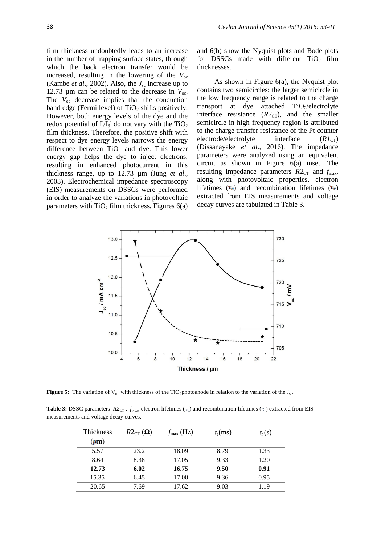film thickness undoubtedly leads to an increase in the number of trapping surface states, through which the back electron transfer would be increased, resulting in the lowering of the *V*oc (Kambe *et al*., 2002). Also, the *J*sc increase up to 12.73  $\mu$ m can be related to the decrease in  $V_{\text{oc}}$ . The  $V_{\text{oc}}$  decrease implies that the conduction band edge (Fermi level) of  $TiO<sub>2</sub>$  shifts positively. However, both energy levels of the dye and the redox potential of  $I/I_3$  do not vary with the TiO<sub>2</sub> film thickness. Therefore, the positive shift with respect to dye energy levels narrows the energy difference between  $TiO<sub>2</sub>$  and dye. This lower energy gap helps the dye to inject electrons, resulting in enhanced photocurrent in this thickness range, up to 12.73 µm (Jung *et al*., 2003). Electrochemical impedance spectroscopy (EIS) measurements on DSSCs were performed in order to analyze the variations in photovoltaic parameters with  $TiO<sub>2</sub>$  film thickness. Figures 6(a)

and 6(b) show the Nyquist plots and Bode plots for DSSCs made with different  $TiO<sub>2</sub>$  film thicknesses.

As shown in Figure 6(a), the Nyquist plot contains two semicircles: the larger semicircle in the low frequency range is related to the charge transport at dye attached  $TiO<sub>2</sub>/electrolyte$ interface resistance  $(R2<sub>CT</sub>)$ , and the smaller semicircle in high frequency region is attributed to the charge transfer resistance of the Pt counter electrode/electrolyte interface  $(RI_{CT})$ (Dissanayake *et al*., 2016). The impedance parameters were analyzed using an equivalent circuit as shown in Figure 6(a) inset. The resulting impedance parameters  $R2_{CT}$  and  $f_{\text{max}}$ , along with photovoltaic properties, electron lifetimes ( $\tau_e$ ) and recombination lifetimes ( $\tau_r$ ) extracted from EIS measurements and voltage decay curves are tabulated in Table 3.



**Figure 5:** The variation of  $V_{\text{oc}}$  with thickness of the TiO<sub>2</sub>photoanode in relation to the variation of the J<sub>sc</sub>.

**Table 3:** DSSC parameters  $R2_{CT}$ ,  $f_{max}$ , electron lifetimes ( $\tau_e$ ) and recombination lifetimes ( $\tau_r$ ) extracted from EIS measurements and voltage decay curves.

| <b>Thickness</b> | $R2_{CT}(\Omega)$ | $f_{\text{max}}$ (Hz) | $\tau_{\rm e}({\rm ms})$ | $\tau_{\rm r}$ (s) |
|------------------|-------------------|-----------------------|--------------------------|--------------------|
| $(\mu m)$        |                   |                       |                          |                    |
| 5.57             | 23.2              | 18.09                 | 8.79                     | 1.33               |
| 8.64             | 8.38              | 17.05                 | 9.33                     | 1.20               |
| 12.73            | 6.02              | 16.75                 | 9.50                     | 0.91               |
| 15.35            | 6.45              | 17.00                 | 9.36                     | 0.95               |
| 20.65            | 7.69              | 17.62                 | 9.03                     | 1.19               |
|                  |                   |                       |                          |                    |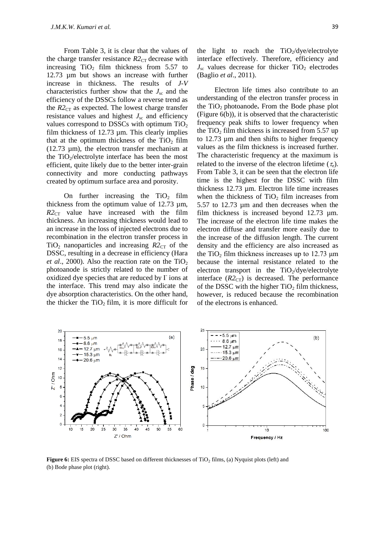From Table 3, it is clear that the values of the charge transfer resistance  $R2_{CT}$  decrease with increasing  $TiO<sub>2</sub>$  film thickness from 5.57 to 12.73 µm but shows an increase with further increase in thickness. The results of *J-V* characteristics further show that the  $J_{\rm sc}$  and the efficiency of the DSSCs follow a reverse trend as the  $R2_{CT}$  as expected. The lowest charge transfer resistance values and highest  $J_{\rm sc}$  and efficiency values correspond to DSSCs with optimum  $TiO<sub>2</sub>$ film thickness of 12.73 µm. This clearly implies that at the optimum thickness of the  $TiO<sub>2</sub>$  film (12.73 µm), the electron transfer mechanism at the  $TiO<sub>2</sub>/electrolyte interface has been the most$ efficient, quite likely due to the better inter-grain connectivity and more conducting pathways created by optimum surface area and porosity.

On further increasing the  $TiO<sub>2</sub>$  film thickness from the optimum value of 12.73 µm,  $R2_{CT}$  value have increased with the film thickness. An increasing thickness would lead to an increase in the loss of injected electrons due to recombination in the electron transfer process in TiO<sub>2</sub> nanoparticles and increasing  $R2_{CT}$  of the DSSC, resulting in a decrease in efficiency (Hara *et al.*, 2000). Also the reaction rate on the  $TiO<sub>2</sub>$ photoanode is strictly related to the number of oxidized dye species that are reduced by I-ions at the interface. This trend may also indicate the dye absorption characteristics. On the other hand, the thicker the  $TiO<sub>2</sub>$  film, it is more difficult for

the light to reach the  $TiO_2/dye/electrolyte$ interface effectively. Therefore, efficiency and  $J_{\rm sc}$  values decrease for thicker TiO<sub>2</sub> electrodes (Baglio *et al*., 2011).

Electron life times also contribute to an understanding of the electron transfer process in the TiO2 photoanode**.** From the Bode phase plot (Figure 6(b)), it is observed that the characteristic frequency peak shifts to lower frequency when the  $TiO<sub>2</sub>$  film thickness is increased from 5.57 up to 12.73 µm and then shifts to higher frequency values as the film thickness is increased further. The characteristic frequency at the maximum is related to the inverse of the electron lifetime  $(\tau_e)$ . From Table 3, it can be seen that the electron life time is the highest for the DSSC with film thickness 12.73 µm. Electron life time increases when the thickness of  $TiO<sub>2</sub>$  film increases from 5.57 to 12.73 µm and then decreases when the film thickness is increased beyond 12.73 µm. The increase of the electron life time makes the electron diffuse and transfer more easily due to the increase of the diffusion length. The current density and the efficiency are also increased as the TiO<sub>2</sub> film thickness increases up to  $12.73 \mu m$ because the internal resistance related to the electron transport in the TiO<sub>2</sub>/dye/electrolyte interface  $(R2<sub>CT</sub>)$  is decreased. The performance of the DSSC with the higher  $TiO<sub>2</sub>$  film thickness, however, is reduced because the recombination of the electrons is enhanced.



**Figure 6:** EIS spectra of DSSC based on different thicknesses of TiO<sub>2</sub> films, (a) Nyquist plots (left) and (b) Bode phase plot (right).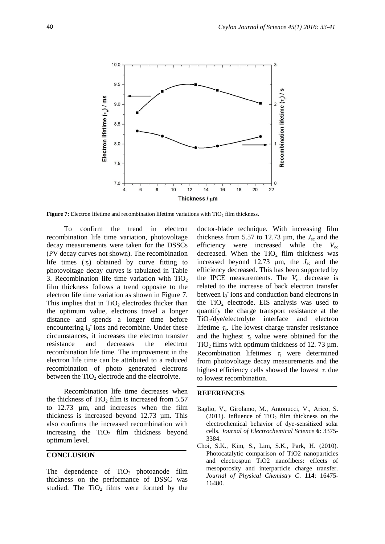

**Figure 7:** Electron lifetime and recombination lifetime variations with  $TiO<sub>2</sub>$  film thickness.

To confirm the trend in electron recombination life time variation, photovoltage decay measurements were taken for the DSSCs (PV decay curves not shown). The recombination life times  $(\tau_r)$  obtained by curve fitting to photovoltage decay curves is tabulated in Table 3. Recombination life time variation with  $TiO<sub>2</sub>$ film thickness follows a trend opposite to the electron life time variation as shown in Figure 7. This implies that in  $TiO<sub>2</sub>$  electrodes thicker than the optimum value, electrons travel a longer distance and spends a longer time before encountering  $I_3$  ions and recombine. Under these circumstances, it increases the electron transfer resistance and decreases the electron recombination life time. The improvement in the electron life time can be attributed to a reduced recombination of photo generated electrons between the  $TiO<sub>2</sub>$  electrode and the electrolyte.

Recombination life time decreases when the thickness of  $TiO<sub>2</sub>$  film is increased from 5.57 to 12.73 µm, and increases when the film thickness is increased beyond 12.73 µm. This also confirms the increased recombination with increasing the  $TiO<sub>2</sub>$  film thickness beyond optimum level.

#### **CONCLUSION**

The dependence of  $TiO<sub>2</sub>$  photoanode film thickness on the performance of DSSC was studied. The  $TiO<sub>2</sub>$  films were formed by the

doctor-blade technique. With increasing film thickness from 5.57 to 12.73  $\mu$ m, the  $J_{\rm sc}$  and the efficiency were increased while the  $V_{\text{oc}}$ decreased. When the  $TiO<sub>2</sub>$  film thickness was increased beyond 12.73  $\mu$ m, the  $J_{\rm sc}$  and the efficiency decreased. This has been supported by the IPCE measurements. The  $V_{\text{oc}}$  decrease is related to the increase of back electron transfer between I<sub>3</sub> ions and conduction band electrons in the  $TiO<sub>2</sub>$  electrode. EIS analysis was used to quantify the charge transport resistance at the TiO2/dye/electrolyte interface and electron lifetime  $\tau_e$ . The lowest charge transfer resistance and the highest  $\tau_e$  value were obtained for the  $TiO<sub>2</sub>$  films with optimum thickness of 12.73 µm. Recombination lifetimes  $\tau_r$  were determined from photovoltage decay measurements and the highest efficiency cells showed the lowest  $\tau_r$  due to lowest recombination.

#### **REFERENCES**

- Baglio, V., Girolamo, M., Antonucci, V., Arico, S. (2011). Influence of TiO<sub>2</sub> film thickness on the electrochemical behavior of dye-sensitized solar cells. *Journal of Electrochemical Science* **6**: 3375- 3384.
- Choi, S.K., Kim, S., Lim, S.K., Park, H. (2010). Photocatalytic comparison of TiO2 nanoparticles and electrospun TiO2 nanofibers: effects of mesoporosity and interparticle charge transfer. *Journal of Physical Chemistry C*. **114**: 16475- 16480.